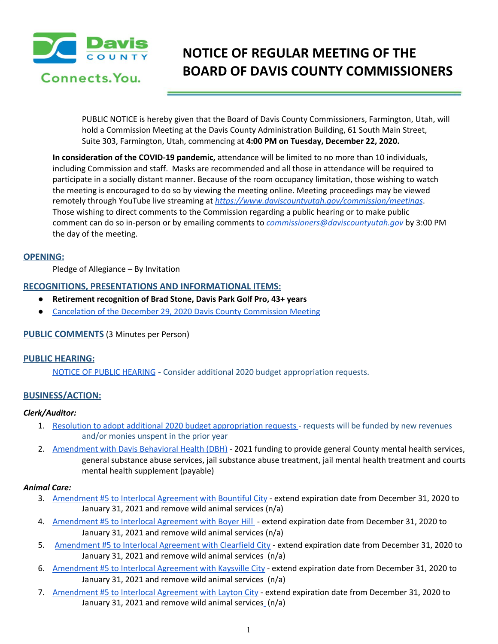

# **NOTICE OF REGULAR MEETING OF THE BOARD OF DAVIS COUNTY COMMISSIONERS**

PUBLIC NOTICE is hereby given that the Board of Davis County Commissioners, Farmington, Utah, will hold a Commission Meeting at the Davis County Administration Building, 61 South Main Street, Suite 303, Farmington, Utah, commencing at **4:00 PM on Tuesday, December 22, 2020.**

**In consideration of the COVID-19 pandemic,** attendance will be limited to no more than 10 individuals, including Commission and staff. Masks are recommended and all those in attendance will be required to participate in a socially distant manner. Because of the room occupancy limitation, those wishing to watch the meeting is encouraged to do so by viewing the meeting online. Meeting proceedings may be viewed remotely through YouTube live streaming at *<https://www.daviscountyutah.gov/commission/meetings>*. Those wishing to direct comments to the Commission regarding a public hearing or to make public comment can do so in-person or by emailing comments to *commissioners@daviscountyutah.gov* by 3:00 PM the day of the meeting.

## **OPENING:**

Pledge of Allegiance – By Invitation

## **RECOGNITIONS, PRESENTATIONS AND INFORMATIONAL ITEMS:**

- **● Retirement recognition of Brad Stone, Davis Park Golf Pro, 43+ years**
- Cancelation of the December 29, 2020 Davis County [Commission](https://drive.google.com/file/d/1kKfsfmouNjOa7lDLx_Opcnp-azXnYr9u/view?usp=drivesdk) Meeting

# **PUBLIC COMMENTS** (3 Minutes per Person)

## **PUBLIC HEARING:**

NOTICE OF PUBLIC [HEARING](https://drive.google.com/file/d/1_RKtnoAyi4O7LNJtM65byTM-TyccVYw3/view?usp=drivesdk) - Consider additional 2020 budget appropriation requests.

# **BUSINESS/ACTION:**

## *Clerk/Auditor:*

- 1. Resolution to adopt additional 2020 budget [appropriation](https://drive.google.com/file/d/15-atCLMa_3jg2dCKC0hOdZ74yuEj7gE0/view?usp=drivesdk) requests requests will be funded by new revenues and/or monies unspent in the prior year
- 2. [Amendment](https://drive.google.com/file/d/1gdLjW2NaXoEMKOUVPQj5Kyb9JNXvBYeO/view?usp=drivesdk) with Davis Behavioral Health (DBH) 2021 funding to provide general County mental health services, general substance abuse services, jail substance abuse treatment, jail mental health treatment and courts mental health supplement (payable)

## *Animal Care:*

- 3. [Amendment](https://drive.google.com/file/d/1Miih9nbh76THo13P-ubqUJzhmrLdObWI/view?usp=drivesdk) #5 to Interlocal Agreement with Bountiful City extend expiration date from December 31, 2020 to January 31, 2021 and remove wild animal services (n/a)
- 4. [Amendment](https://drive.google.com/file/d/1LWUI6YUlebbwrg64hw-puiaptFVNnFrI/view?usp=drivesdk) #5 to Interlocal Agreement with Boyer Hill extend expiration date from December 31, 2020 to January 31, 2021 and remove wild animal services (n/a)
- 5. [Amendment](https://drive.google.com/file/d/1xvoTmxTCpUsBJTSTswsA-7nVGD3BQf0t/view?usp=drivesdk) #5 to Interlocal Agreement with Clearfield City extend expiration date from December 31, 2020 to January 31, 2021 and remove wild animal services (n/a)
- 6. [Amendment](https://drive.google.com/file/d/1sphkGXv57EA4W0aYwuRwp27VOTtmwWvo/view?usp=drivesdk) #5 to Interlocal Agreement with Kaysville City extend expiration date from December 31, 2020 to January 31, 2021 and remove wild animal services (n/a)
- 7. [Amendment](https://drive.google.com/file/d/16ciEZRrSrkOB6yPU7n_mgY-UAvV4FXWt/view?usp=drivesdk) #5 to Interlocal Agreement with Layton City extend expiration date from December 31, 2020 to January 31, 2021 and remove wild animal service[s](https://drive.google.com/file/d/1YHH_0tSAADLIoXsV645cD9Q417kA55-K/view?usp=drivesdk) (n/a)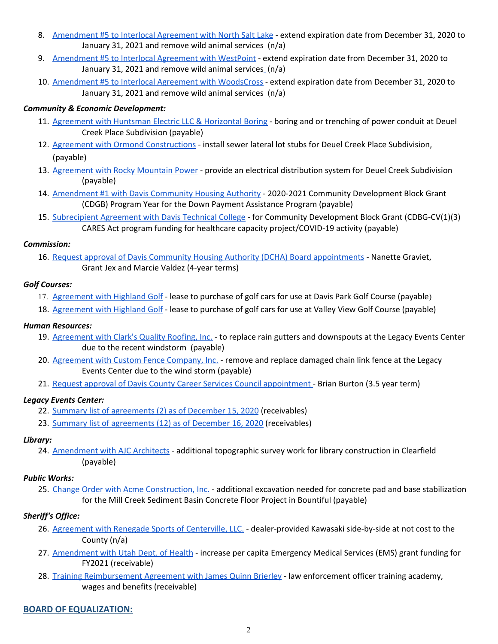- 8. [Amendment](https://drive.google.com/file/d/1_i58y12uIF5QYm4KLZmcfs3gMv-I5D4Z/view?usp=drivesdk) #5 to Interlocal Agreement with North Salt Lake extend expiration date from December 31, 2020 to January 31, 2021 and remove wild animal services (n/a)
- 9. [Amendment](https://drive.google.com/file/d/1YHH_0tSAADLIoXsV645cD9Q417kA55-K/view?usp=drivesdk) #5 to Interlocal Agreement with WestPoint extend expiration date from December 31, 2020 to January 31, 2021 and remove wild animal [s](https://drive.google.com/file/d/1RMQsEzOVFoQ20Ob7wVJjSYagTF4jzDzo/view?usp=drivesdk)ervices\_(n/a)
- 10. [Amendment](https://drive.google.com/file/d/1RMQsEzOVFoQ20Ob7wVJjSYagTF4jzDzo/view?usp=drivesdk) #5 to Interlocal Agreement with WoodsCross extend expiration date from December 31, 2020 to January 31, 2021 and remove wild animal services (n/a)

## *Community & Economic Development:*

- 11. [Agreement](https://drive.google.com/file/d/1_3OWevL0KHHFzfPnDDdeWnwQr3alrWBn/view?usp=drivesdk) with Huntsman Electric LLC & Horizontal Boring boring and or trenching of power conduit at Deuel Creek Place Subdivision (payable)
- 12. Agreement with Ormond [Constructions](https://drive.google.com/file/d/1eJ64x4KpGi-sVAnFB2OYdrzSVs2NBgHW/view?usp=drivesdk) install sewer lateral lot stubs for Deuel Creek Place Subdivision, (payable)
- 13. [Agreement](https://drive.google.com/file/d/1SlX6hBZinqAnz1JqYZIVVMntuXA6KU1I/view?usp=drivesdk) with Rocky Mountain Power provide an electrical distribution system for Deuel Creek Subdivision (payable)
- 14. [Amendment](https://drive.google.com/file/d/1HiDMUzBowSTXmpGL_sOr2rlgRiTLWIly/view?usp=drivesdk) #1 with Davis Community Housing Authority 2020-2021 Community Development Block Grant (CDGB) Program Year for the Down Payment Assistance Program (payable)
- 15. [Subrecipient](https://drive.google.com/file/d/1UXhgTCWimXwcjRUcoZjTbHe_4grkXBJ9/view?usp=drivesdk) Agreement with Davis Technical College for Community Development Block Grant (CDBG-CV(1)(3[\)](https://drive.google.com/file/d/1UXhgTCWimXwcjRUcoZjTbHe_4grkXBJ9/view?usp=drivesdk) CARES Act program funding for healthcare capacity project/COVID-19 activity (payable)

## *Commission:*

16. Request approval of Davis Community Housing Authority (DCHA) Board [appointments](https://drive.google.com/file/d/1IkFZmw-PkxOiPB8xZEwTui-ZG4tE6e2_/view?usp=drivesdk) - Nanette Graviet, Grant Jex and Marcie Valdez (4-year terms)

## *Golf Courses:*

- 17. [Agreement](https://drive.google.com/file/d/1FNudr51UoVNsQltbZg5oVE2-POtqPk1b/view?usp=drivesdk) with Highland Golf lease to purchase of golf cars for use at Davis Park Golf Course (payable)
- 18. [Agreement](https://drive.google.com/file/d/1Y3GQcYjmDcRsD7UoV79wBuQcWv4SoXae/view?usp=drivesdk) with Highland Golf lease to purchase of golf cars for use at Valley View Golf Course (payable)

## *Human Resources:*

- 19. [Agreement](https://drive.google.com/file/d/19UmVM4YnPv_57CdrtERmfnguAN_61mCf/view?usp=drivesdk) with Clark's Quality Roofing, Inc. to replace rain gutters and downspouts at the Legacy Events Center due to the recent windstorm (payable)
- 20. [Agreement](https://drive.google.com/file/d/1QO_SiHbe8o0fLhlapnzgw5ofCdxIDj0m/view?usp=drivesdk) with Custom Fence Company, Inc. remove and replace damaged chain link fence at the Legacy Events Center due to the wind storm (payable)
- 21. Request approval of Davis County Career Services Council [appointment](https://drive.google.com/file/d/12TR06ECYYP7zEK5jbH3Xt4bUg8kL2Xi8/view?usp=drivesdk) Brian Burton (3.5 year term)

# *Legacy Events Center:*

- 22. Summary list of [agreements](https://drive.google.com/file/d/1JJPgOcE_fCXEmIQ7g0yQ9vSQ3OnGLQLW/view?usp=drivesdk) (2) as of December 15, 2020 (receivables)
- 23. Summary list of [agreements](https://drive.google.com/file/d/1m5CxzgzxuiE9QqafLvXfxonk47NoAlBW/view?usp=drivesdk) (12) as of December 16, 2020 (receivables)

## *Library:*

24. [Amendment](https://drive.google.com/file/d/1Ss8zLrIVVWuwZFy7bwKeGxNaJ3ywd9Gh/view?usp=drivesdk) with AJC Architects - additional topographic survey work for library construction in Clearfield (payable)

# *Public Works:*

25. Change Order with Acme [Construction,](https://drive.google.com/file/d/1O-bIc3fa5AKKiua_sB_QOQKG_-ep858C/view?usp=drivesdk) Inc. - additional excavation needed for concrete pad and base stabilization for the Mill Creek Sediment Basin Concrete Floor Project in Bountiful (payable)

# *Sheriff's Office:*

- 26. Agreement with Renegade Sports of [Centerville,](https://drive.google.com/file/d/13AzKt8aKQ_WQ2G6-wywzLZGurgeWxXzO/view?usp=drivesdk) LLC. dealer-provided Kawasaki side-by-side at not cost to the County (n/a)
- 27. [Amendment](https://drive.google.com/file/d/14A-D7Trxbjt-lFcfO0TRWUpzZagNqV_w/view?usp=drivesdk) with Utah Dept. of Health increase per capita Emergency Medical Services (EMS) grant funding for FY2021 (receivable)
- 28. Training [Reimbursement](https://drive.google.com/file/d/1NAbXqzBzeDG9k8uGZ3k1KWvDr039LAaZ/view?usp=drivesdk) Agreement with James Quinn Brierley law enforcement officer training academy, wages and benefits (receivable)

# **BOARD OF EQUALIZATION:**